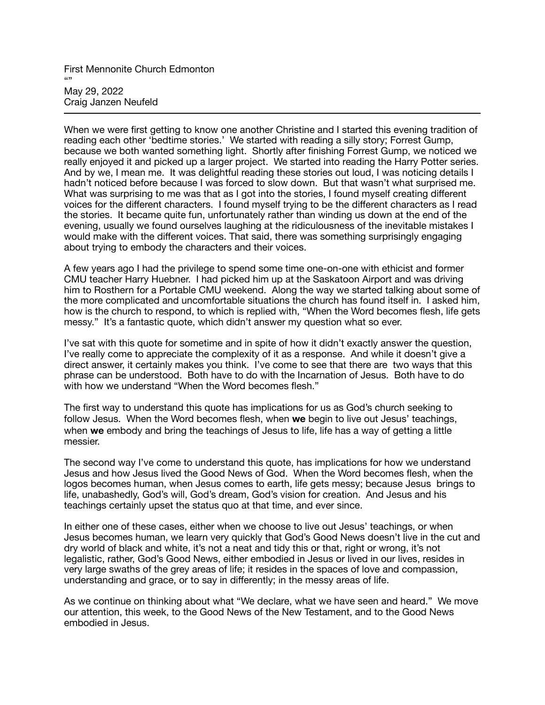First Mennonite Church Edmonton "" May 29, 2022 Craig Janzen Neufeld

When we were first getting to know one another Christine and I started this evening tradition of reading each other 'bedtime stories.' We started with reading a silly story; Forrest Gump, because we both wanted something light. Shortly after finishing Forrest Gump, we noticed we really enjoyed it and picked up a larger project. We started into reading the Harry Potter series. And by we, I mean me. It was delightful reading these stories out loud, I was noticing details I hadn't noticed before because I was forced to slow down. But that wasn't what surprised me. What was surprising to me was that as I got into the stories, I found myself creating different voices for the different characters. I found myself trying to be the different characters as I read the stories. It became quite fun, unfortunately rather than winding us down at the end of the evening, usually we found ourselves laughing at the ridiculousness of the inevitable mistakes I would make with the different voices. That said, there was something surprisingly engaging about trying to embody the characters and their voices.

A few years ago I had the privilege to spend some time one-on-one with ethicist and former CMU teacher Harry Huebner. I had picked him up at the Saskatoon Airport and was driving him to Rosthern for a Portable CMU weekend. Along the way we started talking about some of the more complicated and uncomfortable situations the church has found itself in. I asked him, how is the church to respond, to which is replied with, "When the Word becomes flesh, life gets messy." It's a fantastic quote, which didn't answer my question what so ever.

I've sat with this quote for sometime and in spite of how it didn't exactly answer the question, I've really come to appreciate the complexity of it as a response. And while it doesn't give a direct answer, it certainly makes you think. I've come to see that there are two ways that this phrase can be understood. Both have to do with the Incarnation of Jesus. Both have to do with how we understand "When the Word becomes flesh."

The first way to understand this quote has implications for us as God's church seeking to follow Jesus. When the Word becomes flesh, when **we** begin to live out Jesus' teachings, when **we** embody and bring the teachings of Jesus to life, life has a way of getting a little messier.

The second way I've come to understand this quote, has implications for how we understand Jesus and how Jesus lived the Good News of God. When the Word becomes flesh, when the logos becomes human, when Jesus comes to earth, life gets messy; because Jesus brings to life, unabashedly, God's will, God's dream, God's vision for creation. And Jesus and his teachings certainly upset the status quo at that time, and ever since.

In either one of these cases, either when we choose to live out Jesus' teachings, or when Jesus becomes human, we learn very quickly that God's Good News doesn't live in the cut and dry world of black and white, it's not a neat and tidy this or that, right or wrong, it's not legalistic, rather, God's Good News, either embodied in Jesus or lived in our lives, resides in very large swaths of the grey areas of life; it resides in the spaces of love and compassion, understanding and grace, or to say in differently; in the messy areas of life.

As we continue on thinking about what "We declare, what we have seen and heard." We move our attention, this week, to the Good News of the New Testament, and to the Good News embodied in Jesus.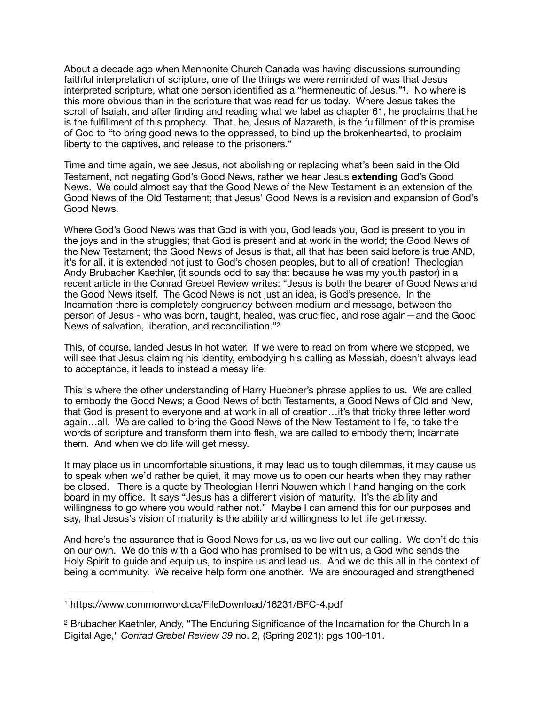<span id="page-1-2"></span>About a decade ago when Mennonite Church Canada was having discussions surrounding faithful interpretation of scripture, one of the things we were reminded of was that Jesus interpreted scripture, what one person identified as a "hermeneutic of Jesus."[1](#page-1-0). No where is this more obvious than in the scripture that was read for us today. Where Jesus takes the scroll of Isaiah, and after finding and reading what we label as chapter 61, he proclaims that he is the fulfillment of this prophecy. That, he, Jesus of Nazareth, is the fulfillment of this promise of God to "to bring good news to the oppressed, to bind up the brokenhearted, to proclaim liberty to the captives, and release to the prisoners."

Time and time again, we see Jesus, not abolishing or replacing what's been said in the Old Testament, not negating God's Good News, rather we hear Jesus **extending** God's Good News. We could almost say that the Good News of the New Testament is an extension of the Good News of the Old Testament; that Jesus' Good News is a revision and expansion of God's Good News.

Where God's Good News was that God is with you, God leads you, God is present to you in the joys and in the struggles; that God is present and at work in the world; the Good News of the New Testament; the Good News of Jesus is that, all that has been said before is true AND, it's for all, it is extended not just to God's chosen peoples, but to all of creation! Theologian Andy Brubacher Kaethler, (it sounds odd to say that because he was my youth pastor) in a recent article in the Conrad Grebel Review writes: "Jesus is both the bearer of Good News and the Good News itself. The Good News is not just an idea, is God's presence. In the Incarnation there is completely congruency between medium and message, between the person of Jesus - who was born, taught, healed, was crucified, and rose again—and the Good News of salvation, liberation, and reconciliation."[2](#page-1-1)

<span id="page-1-3"></span>This, of course, landed Jesus in hot water. If we were to read on from where we stopped, we will see that Jesus claiming his identity, embodying his calling as Messiah, doesn't always lead to acceptance, it leads to instead a messy life.

This is where the other understanding of Harry Huebner's phrase applies to us. We are called to embody the Good News; a Good News of both Testaments, a Good News of Old and New, that God is present to everyone and at work in all of creation…it's that tricky three letter word again…all. We are called to bring the Good News of the New Testament to life, to take the words of scripture and transform them into flesh, we are called to embody them; Incarnate them. And when we do life will get messy.

It may place us in uncomfortable situations, it may lead us to tough dilemmas, it may cause us to speak when we'd rather be quiet, it may move us to open our hearts when they may rather be closed. There is a quote by Theologian Henri Nouwen which I hand hanging on the cork board in my office. It says "Jesus has a different vision of maturity. It's the ability and willingness to go where you would rather not." Maybe I can amend this for our purposes and say, that Jesus's vision of maturity is the ability and willingness to let life get messy.

And here's the assurance that is Good News for us, as we live out our calling. We don't do this on our own. We do this with a God who has promised to be with us, a God who sends the Holy Spirit to guide and equip us, to inspire us and lead us. And we do this all in the context of being a community. We receive help form one another. We are encouraged and strengthened

<span id="page-1-0"></span>https://www.commonword.ca/FileDownload/16231/BFC-4.pdf [1](#page-1-2)

<span id="page-1-1"></span><sup>&</sup>lt;sup>[2](#page-1-3)</sup> Brubacher Kaethler, Andy, "The Enduring Significance of the Incarnation for the Church In a Digital Age," *Conrad Grebel Review 39* no. 2, (Spring 2021): pgs 100-101.